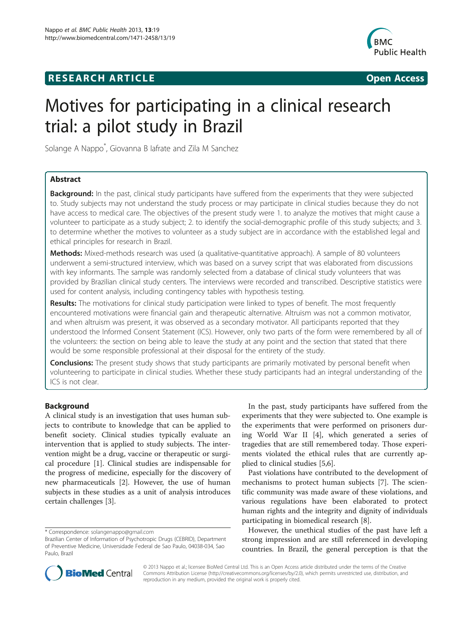# **RESEARCH ARTICLE Example 2014 CONSIDERING CONSIDERING CONSIDERING CONSIDERING CONSIDERING CONSIDERING CONSIDERING CONSIDERING CONSIDERING CONSIDERING CONSIDERING CONSIDERING CONSIDERING CONSIDERING CONSIDERING CONSIDE**



# Motives for participating in a clinical research trial: a pilot study in Brazil

Solange A Nappo\* , Giovanna B Iafrate and Zila M Sanchez

# Abstract

Background: In the past, clinical study participants have suffered from the experiments that they were subjected to. Study subjects may not understand the study process or may participate in clinical studies because they do not have access to medical care. The objectives of the present study were 1. to analyze the motives that might cause a volunteer to participate as a study subject; 2. to identify the social-demographic profile of this study subjects; and 3. to determine whether the motives to volunteer as a study subject are in accordance with the established legal and ethical principles for research in Brazil.

Methods: Mixed-methods research was used (a qualitative-quantitative approach). A sample of 80 volunteers underwent a semi-structured interview, which was based on a survey script that was elaborated from discussions with key informants. The sample was randomly selected from a database of clinical study volunteers that was provided by Brazilian clinical study centers. The interviews were recorded and transcribed. Descriptive statistics were used for content analysis, including contingency tables with hypothesis testing.

Results: The motivations for clinical study participation were linked to types of benefit. The most frequently encountered motivations were financial gain and therapeutic alternative. Altruism was not a common motivator, and when altruism was present, it was observed as a secondary motivator. All participants reported that they understood the Informed Consent Statement (ICS). However, only two parts of the form were remembered by all of the volunteers: the section on being able to leave the study at any point and the section that stated that there would be some responsible professional at their disposal for the entirety of the study.

**Conclusions:** The present study shows that study participants are primarily motivated by personal benefit when volunteering to participate in clinical studies. Whether these study participants had an integral understanding of the ICS is not clear.

# Background

A clinical study is an investigation that uses human subjects to contribute to knowledge that can be applied to benefit society. Clinical studies typically evaluate an intervention that is applied to study subjects. The intervention might be a drug, vaccine or therapeutic or surgical procedure [\[1\]](#page-8-0). Clinical studies are indispensable for the progress of medicine, especially for the discovery of new pharmaceuticals [\[2\]](#page-8-0). However, the use of human subjects in these studies as a unit of analysis introduces certain challenges [[3\]](#page-8-0).

In the past, study participants have suffered from the experiments that they were subjected to. One example is the experiments that were performed on prisoners during World War II [\[4](#page-8-0)], which generated a series of tragedies that are still remembered today. Those experiments violated the ethical rules that are currently applied to clinical studies [[5,6\]](#page-8-0).

Past violations have contributed to the development of mechanisms to protect human subjects [\[7](#page-8-0)]. The scientific community was made aware of these violations, and various regulations have been elaborated to protect human rights and the integrity and dignity of individuals participating in biomedical research [[8\]](#page-8-0).

However, the unethical studies of the past have left a strong impression and are still referenced in developing countries. In Brazil, the general perception is that the



© 2013 Nappo et al.; licensee BioMed Central Ltd. This is an Open Access article distributed under the terms of the Creative Commons Attribution License [\(http://creativecommons.org/licenses/by/2.0\)](http://creativecommons.org/licenses/by/2.0), which permits unrestricted use, distribution, and reproduction in any medium, provided the original work is properly cited.

<sup>\*</sup> Correspondence: [solangenappo@gmail.com](mailto:solangenappo@gmail.com)

Brazilian Center of Information of Psychotropic Drugs (CEBRID), Department of Preventive Medicine, Universidade Federal de Sao Paulo, 04038-034, Sao Paulo, Brazil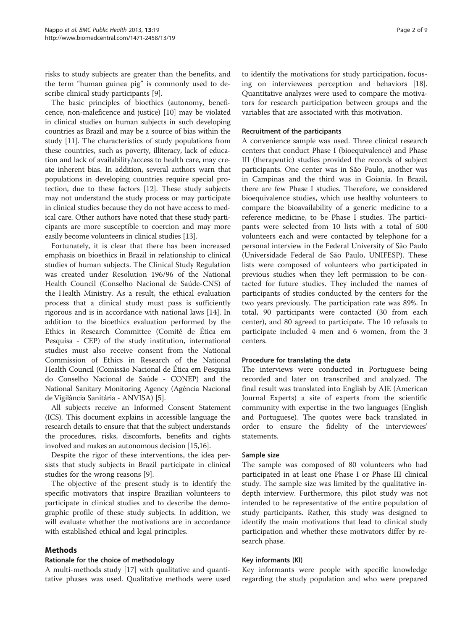risks to study subjects are greater than the benefits, and the term "human guinea pig" is commonly used to describe clinical study participants [\[9](#page-8-0)].

The basic principles of bioethics (autonomy, beneficence, non-maleficence and justice) [\[10\]](#page-8-0) may be violated in clinical studies on human subjects in such developing countries as Brazil and may be a source of bias within the study [\[11\]](#page-8-0). The characteristics of study populations from these countries, such as poverty, illiteracy, lack of education and lack of availability/access to health care, may create inherent bias. In addition, several authors warn that populations in developing countries require special protection, due to these factors [\[12\]](#page-8-0). These study subjects may not understand the study process or may participate in clinical studies because they do not have access to medical care. Other authors have noted that these study participants are more susceptible to coercion and may more easily become volunteers in clinical studies [[13](#page-8-0)].

Fortunately, it is clear that there has been increased emphasis on bioethics in Brazil in relationship to clinical studies of human subjects. The Clinical Study Regulation was created under Resolution 196/96 of the National Health Council (Conselho Nacional de Saúde-CNS) of the Health Ministry. As a result, the ethical evaluation process that a clinical study must pass is sufficiently rigorous and is in accordance with national laws [\[14](#page-8-0)]. In addition to the bioethics evaluation performed by the Ethics in Research Committee (Comitê de Ética em Pesquisa - CEP) of the study institution, international studies must also receive consent from the National Commission of Ethics in Research of the National Health Council (Comissão Nacional de Ética em Pesquisa do Conselho Nacional de Saúde - CONEP) and the National Sanitary Monitoring Agency (Agência Nacional de Vigilância Sanitária - ANVISA) [[5\]](#page-8-0).

All subjects receive an Informed Consent Statement (ICS). This document explains in accessible language the research details to ensure that that the subject understands the procedures, risks, discomforts, benefits and rights involved and makes an autonomous decision [\[15,16](#page-8-0)].

Despite the rigor of these interventions, the idea persists that study subjects in Brazil participate in clinical studies for the wrong reasons [[9\]](#page-8-0).

The objective of the present study is to identify the specific motivators that inspire Brazilian volunteers to participate in clinical studies and to describe the demographic profile of these study subjects. In addition, we will evaluate whether the motivations are in accordance with established ethical and legal principles.

# Methods

## Rationale for the choice of methodology

A multi-methods study [\[17](#page-8-0)] with qualitative and quantitative phases was used. Qualitative methods were used

to identify the motivations for study participation, focusing on interviewees perception and behaviors [\[18](#page-8-0)]. Quantitative analyzes were used to compare the motivators for research participation between groups and the variables that are associated with this motivation.

# Recruitment of the participants

A convenience sample was used. Three clinical research centers that conduct Phase I (bioequivalence) and Phase III (therapeutic) studies provided the records of subject participants. One center was in São Paulo, another was in Campinas and the third was in Goiania. In Brazil, there are few Phase I studies. Therefore, we considered bioequivalence studies, which use healthy volunteers to compare the bioavailability of a generic medicine to a reference medicine, to be Phase I studies. The participants were selected from 10 lists with a total of 500 volunteers each and were contacted by telephone for a personal interview in the Federal University of São Paulo (Universidade Federal de São Paulo, UNIFESP). These lists were composed of volunteers who participated in previous studies when they left permission to be contacted for future studies. They included the names of participants of studies conducted by the centers for the two years previously. The participation rate was 89%. In total, 90 participants were contacted (30 from each center), and 80 agreed to participate. The 10 refusals to participate included 4 men and 6 women, from the 3 centers.

## Procedure for translating the data

The interviews were conducted in Portuguese being recorded and later on transcribed and analyzed. The final result was translated into English by AJE (American Journal Experts) a site of experts from the scientific community with expertise in the two languages (English and Portuguese). The quotes were back translated in order to ensure the fidelity of the interviewees' statements.

## Sample size

The sample was composed of 80 volunteers who had participated in at least one Phase I or Phase III clinical study. The sample size was limited by the qualitative indepth interview. Furthermore, this pilot study was not intended to be representative of the entire population of study participants. Rather, this study was designed to identify the main motivations that lead to clinical study participation and whether these motivators differ by research phase.

## Key informants (KI)

Key informants were people with specific knowledge regarding the study population and who were prepared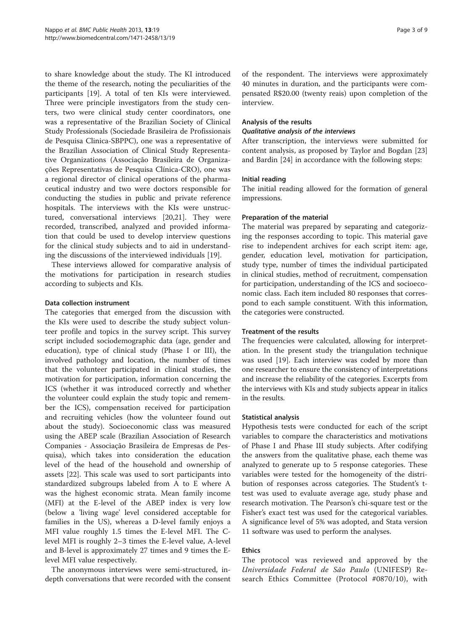to share knowledge about the study. The KI introduced the theme of the research, noting the peculiarities of the participants [[19\]](#page-8-0). A total of ten KIs were interviewed. Three were principle investigators from the study centers, two were clinical study center coordinators, one was a representative of the Brazilian Society of Clinical Study Professionals (Sociedade Brasileira de Profissionais de Pesquisa Clinica-SBPPC), one was a representative of the Brazilian Association of Clinical Study Representative Organizations (Associação Brasileira de Organizações Representativas de Pesquisa Clínica-CRO), one was a regional director of clinical operations of the pharmaceutical industry and two were doctors responsible for conducting the studies in public and private reference hospitals. The interviews with the KIs were unstructured, conversational interviews [[20,21\]](#page-8-0). They were recorded, transcribed, analyzed and provided information that could be used to develop interview questions for the clinical study subjects and to aid in understanding the discussions of the interviewed individuals [\[19\]](#page-8-0).

These interviews allowed for comparative analysis of the motivations for participation in research studies according to subjects and KIs.

# Data collection instrument

The categories that emerged from the discussion with the KIs were used to describe the study subject volunteer profile and topics in the survey script. This survey script included sociodemographic data (age, gender and education), type of clinical study (Phase I or III), the involved pathology and location, the number of times that the volunteer participated in clinical studies, the motivation for participation, information concerning the ICS (whether it was introduced correctly and whether the volunteer could explain the study topic and remember the ICS), compensation received for participation and recruiting vehicles (how the volunteer found out about the study). Socioeconomic class was measured using the ABEP scale (Brazilian Association of Research Companies - Associação Brasileira de Empresas de Pesquisa), which takes into consideration the education level of the head of the household and ownership of assets [[22\]](#page-8-0). This scale was used to sort participants into standardized subgroups labeled from A to E where A was the highest economic strata. Mean family income (MFI) at the E-level of the ABEP index is very low (below a 'living wage' level considered acceptable for families in the US), whereas a D-level family enjoys a MFI value roughly 1.5 times the E-level MFI. The Clevel MFI is roughly 2–3 times the E-level value, A-level and B-level is approximately 27 times and 9 times the Elevel MFI value respectively.

The anonymous interviews were semi-structured, indepth conversations that were recorded with the consent of the respondent. The interviews were approximately 40 minutes in duration, and the participants were compensated R\$20.00 (twenty reais) upon completion of the interview.

#### Analysis of the results

#### Qualitative analysis of the interviews

After transcription, the interviews were submitted for content analysis, as proposed by Taylor and Bogdan [[23](#page-8-0)] and Bardin [\[24\]](#page-8-0) in accordance with the following steps:

#### Initial reading

The initial reading allowed for the formation of general impressions.

#### Preparation of the material

The material was prepared by separating and categorizing the responses according to topic. This material gave rise to independent archives for each script item: age, gender, education level, motivation for participation, study type, number of times the individual participated in clinical studies, method of recruitment, compensation for participation, understanding of the ICS and socioeconomic class. Each item included 80 responses that correspond to each sample constituent. With this information, the categories were constructed.

## Treatment of the results

The frequencies were calculated, allowing for interpretation. In the present study the triangulation technique was used [[19](#page-8-0)]. Each interview was coded by more than one researcher to ensure the consistency of interpretations and increase the reliability of the categories. Excerpts from the interviews with KIs and study subjects appear in italics in the results.

#### Statistical analysis

Hypothesis tests were conducted for each of the script variables to compare the characteristics and motivations of Phase I and Phase III study subjects. After codifying the answers from the qualitative phase, each theme was analyzed to generate up to 5 response categories. These variables were tested for the homogeneity of the distribution of responses across categories. The Student's ttest was used to evaluate average age, study phase and research motivation. The Pearson's chi-square test or the Fisher's exact test was used for the categorical variables. A significance level of 5% was adopted, and Stata version 11 software was used to perform the analyses.

## Ethics

The protocol was reviewed and approved by the Universidade Federal de São Paulo (UNIFESP) Research Ethics Committee (Protocol #0870/10), with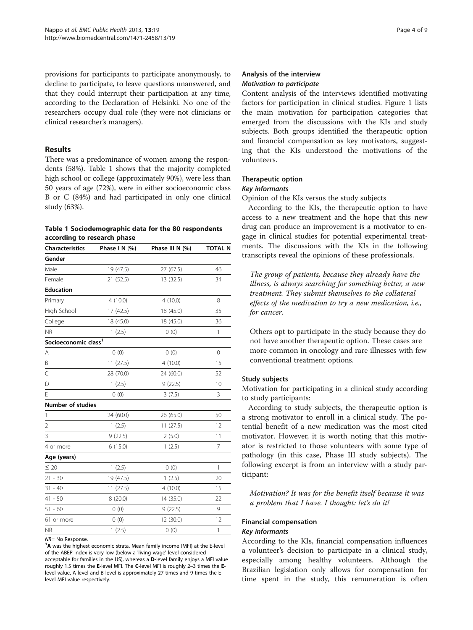<span id="page-3-0"></span>provisions for participants to participate anonymously, to decline to participate, to leave questions unanswered, and that they could interrupt their participation at any time, according to the Declaration of Helsinki. No one of the researchers occupy dual role (they were not clinicians or clinical researcher's managers).

# Results

There was a predominance of women among the respondents (58%). Table 1 shows that the majority completed high school or college (approximately 90%), were less than 50 years of age (72%), were in either socioeconomic class B or C (84%) and had participated in only one clinical study (63%).

# Table 1 Sociodemographic data for the 80 respondents according to research phase

| <b>Characteristics</b>           | Phase $I N$ (%) | Phase III N (%) | <b>TOTAL N</b> |
|----------------------------------|-----------------|-----------------|----------------|
| Gender                           |                 |                 |                |
| Male                             | 19 (47.5)       | 27 (67.5)       | 46             |
| Female                           | 21 (52.5)       | 13 (32.5)       | 34             |
| Education                        |                 |                 |                |
| Primary                          | 4(10.0)         | 4(10.0)         | 8              |
| High School                      | 17 (42.5)       | 18 (45.0)       | 35             |
| College                          | 18 (45.0)       | 18 (45.0)       | 36             |
| <b>NR</b>                        | 1(2.5)          | 0(0)            | 1              |
| Socioeconomic class <sup>1</sup> |                 |                 |                |
| Α                                | 0(0)            | 0(0)            | $\Omega$       |
| B                                | 11(27.5)        | 4(10.0)         | 15             |
| $\overline{C}$                   | 28 (70.0)       | 24 (60.0)       | 52             |
| D                                | 1(2.5)          | 9(22.5)         | 10             |
| $\overline{E}$                   | 0(0)            | 3(7.5)          | 3              |
| <b>Number of studies</b>         |                 |                 |                |
| 1                                | 24 (60.0)       | 26 (65.0)       | 50             |
| $\overline{2}$                   | 1(2.5)          | 11(27.5)        | 12             |
| $\overline{3}$                   | 9(22.5)         | 2(5.0)          | 11             |
| 4 or more                        | 6(15.0)         | 1(2.5)          | $\overline{7}$ |
| Age (years)                      |                 |                 |                |
| $\leq 20$                        | 1(2.5)          | 0(0)            | $\mathbf{1}$   |
| $21 - 30$                        | 19 (47.5)       | 1(2.5)          | 20             |
| $31 - 40$                        | 11(27.5)        | 4(10.0)         | 15             |
| $41 - 50$                        | 8(20.0)         | 14 (35.0)       | 22             |
| $51 - 60$                        | 0(0)            | 9(22.5)         | 9              |
| 61 or more                       | 0(0)            | 12 (30.0)       | 12             |
| <b>NR</b>                        | 1(2.5)          | 0(0)            | 1              |

NR= No Response.

<sup>1</sup>A was the highest economic strata. Mean family income (MFI) at the E-level of the ABEP index is very low (below a 'living wage' level considered acceptable for families in the US), whereas a D-level family enjoys a MFI value roughly 1.5 times the E-level MFI. The C-level MFI is roughly 2–3 times the Elevel value, A-level and B-level is approximately 27 times and 9 times the Elevel MFI value respectively.

Content analysis of the interviews identified motivating factors for participation in clinical studies. Figure [1](#page-4-0) lists the main motivation for participation categories that emerged from the discussions with the KIs and study subjects. Both groups identified the therapeutic option and financial compensation as key motivators, suggesting that the KIs understood the motivations of the volunteers.

# Therapeutic option

## Key informants

Opinion of the KIs versus the study subjects

According to the KIs, the therapeutic option to have access to a new treatment and the hope that this new drug can produce an improvement is a motivator to engage in clinical studies for potential experimental treatments. The discussions with the KIs in the following transcripts reveal the opinions of these professionals.

The group of patients, because they already have the illness, is always searching for something better, a new treatment. They submit themselves to the collateral effects of the medication to try a new medication, i.e., for cancer.

Others opt to participate in the study because they do not have another therapeutic option. These cases are more common in oncology and rare illnesses with few conventional treatment options.

# Study subjects

Motivation for participating in a clinical study according to study participants:

According to study subjects, the therapeutic option is a strong motivator to enroll in a clinical study. The potential benefit of a new medication was the most cited motivator. However, it is worth noting that this motivator is restricted to those volunteers with some type of pathology (in this case, Phase III study subjects). The following excerpt is from an interview with a study participant:

Motivation? It was for the benefit itself because it was a problem that I have. I thought: let's do it!

## Financial compensation Key informants

According to the KIs, financial compensation influences a volunteer's decision to participate in a clinical study, especially among healthy volunteers. Although the Brazilian legislation only allows for compensation for time spent in the study, this remuneration is often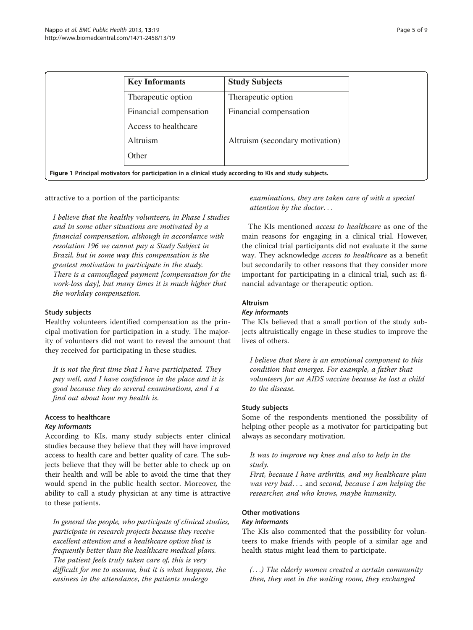<span id="page-4-0"></span>

| <b>Key Informants</b>                                                                                    | <b>Study Subjects</b>           |
|----------------------------------------------------------------------------------------------------------|---------------------------------|
| Therapeutic option                                                                                       | Therapeutic option              |
| Financial compensation                                                                                   | Financial compensation          |
| Access to healthcare                                                                                     |                                 |
| Altruism                                                                                                 | Altruism (secondary motivation) |
| Other                                                                                                    |                                 |
| Figure 1 Principal motivators for participation in a clinical study according to KIs and study subjects. |                                 |

attractive to a portion of the participants:

I believe that the healthy volunteers, in Phase I studies and in some other situations are motivated by a financial compensation, although in accordance with resolution 196 we cannot pay a Study Subject in Brazil, but in some way this compensation is the greatest motivation to participate in the study. There is a camouflaged payment [compensation for the work-loss day], but many times it is much higher that the workday compensation.

# Study subjects

Healthy volunteers identified compensation as the principal motivation for participation in a study. The majority of volunteers did not want to reveal the amount that they received for participating in these studies.

It is not the first time that I have participated. They pay well, and I have confidence in the place and it is good because they do several examinations, and I a find out about how my health is.

# Access to healthcare Key informants

According to KIs, many study subjects enter clinical studies because they believe that they will have improved access to health care and better quality of care. The subjects believe that they will be better able to check up on their health and will be able to avoid the time that they would spend in the public health sector. Moreover, the ability to call a study physician at any time is attractive to these patients.

In general the people, who participate of clinical studies, participate in research projects because they receive excellent attention and a healthcare option that is frequently better than the healthcare medical plans. The patient feels truly taken care of, this is very difficult for me to assume, but it is what happens, the easiness in the attendance, the patients undergo

examinations, they are taken care of with a special attention by the doctor...

The KIs mentioned access to healthcare as one of the main reasons for engaging in a clinical trial. However, the clinical trial participants did not evaluate it the same way. They acknowledge access to healthcare as a benefit but secondarily to other reasons that they consider more important for participating in a clinical trial, such as: financial advantage or therapeutic option.

# Altruism

# Key informants

The KIs believed that a small portion of the study subjects altruistically engage in these studies to improve the lives of others.

I believe that there is an emotional component to this condition that emerges. For example, a father that volunteers for an AIDS vaccine because he lost a child to the disease.

# Study subjects

Some of the respondents mentioned the possibility of helping other people as a motivator for participating but always as secondary motivation.

It was to improve my knee and also to help in the study.

First, because I have arthritis, and my healthcare plan was very bad.... and second, because I am helping the researcher, and who knows, maybe humanity.

# Other motivations

# Key informants

The KIs also commented that the possibility for volunteers to make friends with people of a similar age and health status might lead them to participate.

(...) The elderly women created a certain community then, they met in the waiting room, they exchanged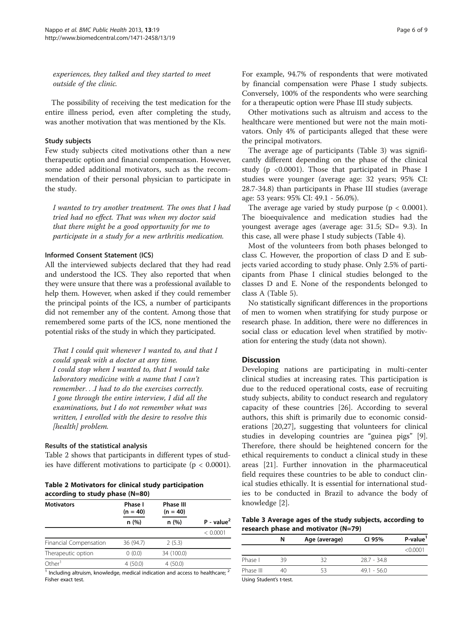experiences, they talked and they started to meet outside of the clinic.

The possibility of receiving the test medication for the entire illness period, even after completing the study, was another motivation that was mentioned by the KIs.

# Study subjects

Few study subjects cited motivations other than a new therapeutic option and financial compensation. However, some added additional motivators, such as the recommendation of their personal physician to participate in the study.

I wanted to try another treatment. The ones that I had tried had no effect. That was when my doctor said that there might be a good opportunity for me to participate in a study for a new arthritis medication.

#### Informed Consent Statement (ICS)

All the interviewed subjects declared that they had read and understood the ICS. They also reported that when they were unsure that there was a professional available to help them. However, when asked if they could remember the principal points of the ICS, a number of participants did not remember any of the content. Among those that remembered some parts of the ICS, none mentioned the potential risks of the study in which they participated.

That I could quit whenever I wanted to, and that I could speak with a doctor at any time. I could stop when I wanted to, that I would take laboratory medicine with a name that I can't remember...I had to do the exercises correctly. I gone through the entire interview, I did all the examinations, but I do not remember what was written, I enrolled with the desire to resolve this [health] problem.

# Results of the statistical analysis

Table 2 shows that participants in different types of studies have different motivations to participate ( $p < 0.0001$ ).

# Table 2 Motivators for clinical study participation according to study phase (N=80)

| <b>Motivators</b>      | Phase I<br>$(n = 40)$ | <b>Phase III</b><br>$(n = 40)$ |               |
|------------------------|-----------------------|--------------------------------|---------------|
|                        | n (%)                 | n (%)                          | $P - value^2$ |
|                        |                       |                                | < 0.0001      |
| Financial Compensation | 36 (94.7)             | 2(5.3)                         |               |
| Therapeutic option     | 0(0.0)                | 34 (100.0)                     |               |
| Other <sup>1</sup>     | 4(50.0)               | 4(50.0)                        |               |

 $1$  Including altruism, knowledge, medical indication and access to healthcare;  $2$ Fisher exact test.

For example, 94.7% of respondents that were motivated by financial compensation were Phase I study subjects. Conversely, 100% of the respondents who were searching for a therapeutic option were Phase III study subjects.

Other motivations such as altruism and access to the healthcare were mentioned but were not the main motivators. Only 4% of participants alleged that these were the principal motivators.

The average age of participants (Table 3) was significantly different depending on the phase of the clinical study (p <0.0001). Those that participated in Phase I studies were younger (average age: 32 years; 95% CI: 28.7-34.8) than participants in Phase III studies (average age: 53 years: 95% CI: 49.1 - 56.0%).

The average age varied by study purpose ( $p < 0.0001$ ). The bioequivalence and medication studies had the youngest average ages (average age: 31.5; SD= 9.3). In this case, all were phase I study subjects (Table [4](#page-6-0)).

Most of the volunteers from both phases belonged to class C. However, the proportion of class D and E subjects varied according to study phase. Only 2.5% of participants from Phase I clinical studies belonged to the classes D and E. None of the respondents belonged to class A (Table [5\)](#page-6-0).

No statistically significant differences in the proportions of men to women when stratifying for study purpose or research phase. In addition, there were no differences in social class or education level when stratified by motivation for entering the study (data not shown).

# Discussion

Developing nations are participating in multi-center clinical studies at increasing rates. This participation is due to the reduced operational costs, ease of recruiting study subjects, ability to conduct research and regulatory capacity of these countries [\[26\]](#page-8-0). According to several authors, this shift is primarily due to economic considerations [\[20,27](#page-8-0)], suggesting that volunteers for clinical studies in developing countries are "guinea pigs" [\[9](#page-8-0)]. Therefore, there should be heightened concern for the ethical requirements to conduct a clinical study in these areas [[21\]](#page-8-0). Further innovation in the pharmaceutical field requires these countries to be able to conduct clinical studies ethically. It is essential for international studies to be conducted in Brazil to advance the body of knowledge [\[2](#page-8-0)].

Table 3 Average ages of the study subjects, according to research phase and motivator (N=79)

|           | N  | Age (average) | CI 95%        | P-value <sup>1</sup> |
|-----------|----|---------------|---------------|----------------------|
|           |    |               |               | < 0.0001             |
| Phase I   | 39 | スフ            | 28.7 - 34.8   |                      |
| Phase III | 40 | 53            | $49.1 - 56.0$ |                      |
|           |    |               |               |                      |

Using Student's t-test.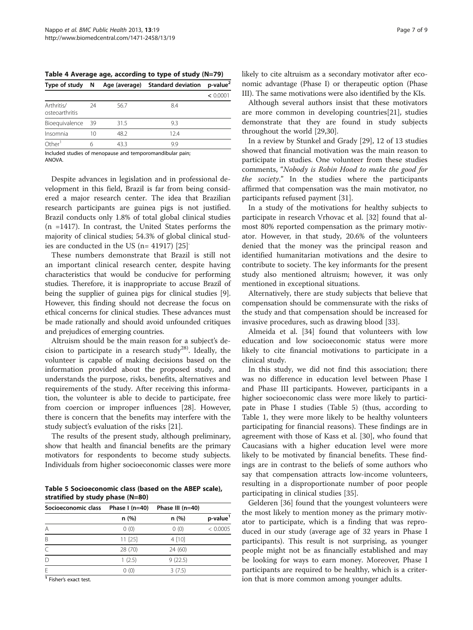<span id="page-6-0"></span>Table 4 Average age, according to type of study (N=79)

| Type of study                | - N |      | Age (average) Standard deviation | $p$ -value <sup>2</sup> |
|------------------------------|-----|------|----------------------------------|-------------------------|
|                              |     |      |                                  | < 0.0001                |
| Arthritis/<br>osteoarthritis | 24  | 56.7 | 8.4                              |                         |
| Bioeguivalence 39            |     | 31.5 | 9.3                              |                         |
| Insomnia                     | 10  | 48.2 | 124                              |                         |
| Other <sup>1</sup>           | 6   | 43.3 | 99                               |                         |
|                              |     |      |                                  |                         |

Included studies of menopause and temporomandibular pain; ANOVA.

Despite advances in legislation and in professional development in this field, Brazil is far from being considered a major research center. The idea that Brazilian research participants are guinea pigs is not justified. Brazil conducts only 1.8% of total global clinical studies (n =1417). In contrast, the United States performs the majority of clinical studies; 54.3% of global clinical studies are conducted in the US (n= 41917) [\[25](#page-8-0)].

These numbers demonstrate that Brazil is still not an important clinical research center, despite having characteristics that would be conducive for performing studies. Therefore, it is inappropriate to accuse Brazil of being the supplier of guinea pigs for clinical studies [[9](#page-8-0)]. However, this finding should not decrease the focus on ethical concerns for clinical studies. These advances must be made rationally and should avoid unfounded critiques and prejudices of emerging countries.

Altruism should be the main reason for a subject's decision to participate in a research study<sup>28)</sup>. Ideally, the volunteer is capable of making decisions based on the information provided about the proposed study, and understands the purpose, risks, benefits, alternatives and requirements of the study. After receiving this information, the volunteer is able to decide to participate, free from coercion or improper influences [[28](#page-8-0)]. However, there is concern that the benefits may interfere with the study subject's evaluation of the risks [[21\]](#page-8-0).

The results of the present study, although preliminary, show that health and financial benefits are the primary motivators for respondents to become study subjects. Individuals from higher socioeconomic classes were more

Table 5 Socioeconomic class (based on the ABEP scale), stratified by study phase (N=80)

| n(%)    | n (%)   | p-value <sup>1</sup> |
|---------|---------|----------------------|
|         |         |                      |
|         | 0(0)    | < 0.0005             |
| 11 [25] | 4[10]   |                      |
| 28 (70) | 24 (60) |                      |
| 1(2.5)  | 9(22.5) |                      |
| 0(0)    | 3(7.5)  |                      |
|         | 0(0)    |                      |

<sup>1</sup> Fisher's exact test.

likely to cite altruism as a secondary motivator after economic advantage (Phase I) or therapeutic option (Phase III). The same motivations were also identified by the KIs.

Although several authors insist that these motivators are more common in developing countries[[21\]](#page-8-0), studies demonstrate that they are found in study subjects throughout the world [\[29,30\]](#page-8-0).

In a review by Stunkel and Grady [\[29\]](#page-8-0), 12 of 13 studies showed that financial motivation was the main reason to participate in studies. One volunteer from these studies comments, "Nobody is Robin Hood to make the good for the society." In the studies where the participants affirmed that compensation was the main motivator, no participants refused payment [[31](#page-8-0)].

In a study of the motivations for healthy subjects to participate in research Vrhovac et al. [\[32](#page-8-0)] found that almost 80% reported compensation as the primary motivator. However, in that study, 20.6% of the volunteers denied that the money was the principal reason and identified humanitarian motivations and the desire to contribute to society. The key informants for the present study also mentioned altruism; however, it was only mentioned in exceptional situations.

Alternatively, there are study subjects that believe that compensation should be commensurate with the risks of the study and that compensation should be increased for invasive procedures, such as drawing blood [\[33](#page-8-0)].

Almeida et al. [\[34](#page-8-0)] found that volunteers with low education and low socioeconomic status were more likely to cite financial motivations to participate in a clinical study.

In this study, we did not find this association; there was no difference in education level between Phase I and Phase III participants. However, participants in a higher socioeconomic class were more likely to participate in Phase I studies (Table 5) (thus, according to Table [1,](#page-3-0) they were more likely to be healthy volunteers participating for financial reasons). These findings are in agreement with those of Kass et al. [\[30](#page-8-0)], who found that Caucasians with a higher education level were more likely to be motivated by financial benefits. These findings are in contrast to the beliefs of some authors who say that compensation attracts low-income volunteers, resulting in a disproportionate number of poor people participating in clinical studies [\[35\]](#page-8-0).

Gelderen [\[36](#page-8-0)] found that the youngest volunteers were the most likely to mention money as the primary motivator to participate, which is a finding that was reproduced in our study (average age of 32 years in Phase I participants). This result is not surprising, as younger people might not be as financially established and may be looking for ways to earn money. Moreover, Phase I participants are required to be healthy, which is a criterion that is more common among younger adults.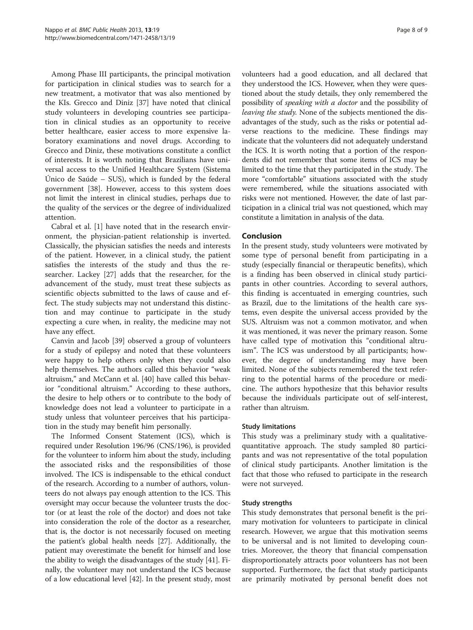Among Phase III participants, the principal motivation for participation in clinical studies was to search for a new treatment, a motivator that was also mentioned by the KIs. Grecco and Diniz [[37\]](#page-8-0) have noted that clinical study volunteers in developing countries see participation in clinical studies as an opportunity to receive better healthcare, easier access to more expensive laboratory examinations and novel drugs. According to Grecco and Diniz, these motivations constitute a conflict of interests. It is worth noting that Brazilians have universal access to the Unified Healthcare System (Sistema Único de Saúde – SUS), which is funded by the federal government [[38\]](#page-8-0). However, access to this system does not limit the interest in clinical studies, perhaps due to the quality of the services or the degree of individualized attention.

Cabral et al. [[1\]](#page-8-0) have noted that in the research environment, the physician-patient relationship is inverted. Classically, the physician satisfies the needs and interests of the patient. However, in a clinical study, the patient satisfies the interests of the study and thus the researcher. Lackey [[27](#page-8-0)] adds that the researcher, for the advancement of the study, must treat these subjects as scientific objects submitted to the laws of cause and effect. The study subjects may not understand this distinction and may continue to participate in the study expecting a cure when, in reality, the medicine may not have any effect.

Canvin and Jacob [\[39](#page-8-0)] observed a group of volunteers for a study of epilepsy and noted that these volunteers were happy to help others only when they could also help themselves. The authors called this behavior "weak altruism," and McCann et al. [\[40](#page-8-0)] have called this behavior "conditional altruism." According to these authors, the desire to help others or to contribute to the body of knowledge does not lead a volunteer to participate in a study unless that volunteer perceives that his participation in the study may benefit him personally.

The Informed Consent Statement (ICS), which is required under Resolution 196/96 (CNS/196), is provided for the volunteer to inform him about the study, including the associated risks and the responsibilities of those involved. The ICS is indispensable to the ethical conduct of the research. According to a number of authors, volunteers do not always pay enough attention to the ICS. This oversight may occur because the volunteer trusts the doctor (or at least the role of the doctor) and does not take into consideration the role of the doctor as a researcher, that is, the doctor is not necessarily focused on meeting the patient's global health needs [[27](#page-8-0)]. Additionally, the patient may overestimate the benefit for himself and lose the ability to weigh the disadvantages of the study [\[41\]](#page-8-0). Finally, the volunteer may not understand the ICS because of a low educational level [[42\]](#page-8-0). In the present study, most volunteers had a good education, and all declared that they understood the ICS. However, when they were questioned about the study details, they only remembered the possibility of speaking with a doctor and the possibility of *leaving the study*. None of the subjects mentioned the disadvantages of the study, such as the risks or potential adverse reactions to the medicine. These findings may indicate that the volunteers did not adequately understand the ICS. It is worth noting that a portion of the respondents did not remember that some items of ICS may be limited to the time that they participated in the study. The more "comfortable" situations associated with the study were remembered, while the situations associated with risks were not mentioned. However, the date of last participation in a clinical trial was not questioned, which may constitute a limitation in analysis of the data.

# Conclusion

In the present study, study volunteers were motivated by some type of personal benefit from participating in a study (especially financial or therapeutic benefits), which is a finding has been observed in clinical study participants in other countries. According to several authors, this finding is accentuated in emerging countries, such as Brazil, due to the limitations of the health care systems, even despite the universal access provided by the SUS. Altruism was not a common motivator, and when it was mentioned, it was never the primary reason. Some have called type of motivation this "conditional altruism". The ICS was understood by all participants; however, the degree of understanding may have been limited. None of the subjects remembered the text referring to the potential harms of the procedure or medicine. The authors hypothesize that this behavior results because the individuals participate out of self-interest, rather than altruism.

## Study limitations

This study was a preliminary study with a qualitativequantitative approach. The study sampled 80 participants and was not representative of the total population of clinical study participants. Another limitation is the fact that those who refused to participate in the research were not surveyed.

# Study strengths

This study demonstrates that personal benefit is the primary motivation for volunteers to participate in clinical research. However, we argue that this motivation seems to be universal and is not limited to developing countries. Moreover, the theory that financial compensation disproportionately attracts poor volunteers has not been supported. Furthermore, the fact that study participants are primarily motivated by personal benefit does not